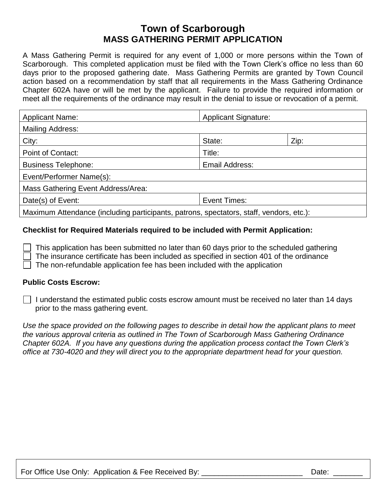## **Town of Scarborough MASS GATHERING PERMIT APPLICATION**

A Mass Gathering Permit is required for any event of 1,000 or more persons within the Town of Scarborough. This completed application must be filed with the Town Clerk's office no less than 60 days prior to the proposed gathering date. Mass Gathering Permits are granted by Town Council action based on a recommendation by staff that all requirements in the Mass Gathering Ordinance Chapter 602A have or will be met by the applicant. Failure to provide the required information or meet all the requirements of the ordinance may result in the denial to issue or revocation of a permit.

| <b>Applicant Name:</b>                                                                  | <b>Applicant Signature:</b> |      |
|-----------------------------------------------------------------------------------------|-----------------------------|------|
| Mailing Address:                                                                        |                             |      |
| City:                                                                                   | State:                      | Zip: |
| Point of Contact:                                                                       | Title:                      |      |
| <b>Business Telephone:</b>                                                              | Email Address:              |      |
| Event/Performer Name(s):                                                                |                             |      |
| Mass Gathering Event Address/Area:                                                      |                             |      |
| Date(s) of Event:                                                                       | Event Times:                |      |
| Maximum Attendance (including participants, patrons, spectators, staff, vendors, etc.): |                             |      |

## **Checklist for Required Materials required to be included with Permit Application:**

This application has been submitted no later than 60 days prior to the scheduled gathering

The insurance certificate has been included as specified in section 401 of the ordinance

The non-refundable application fee has been included with the application

## **Public Costs Escrow:**

 $\vert \ \vert$  I understand the estimated public costs escrow amount must be received no later than 14 days prior to the mass gathering event.

*Use the space provided on the following pages to describe in detail how the applicant plans to meet the various approval criteria as outlined in The Town of Scarborough Mass Gathering Ordinance Chapter 602A. If you have any questions during the application process contact the Town Clerk's office at 730-4020 and they will direct you to the appropriate department head for your question.*

For Office Use Only: Application & Fee Received By: **Example 20** External part of Date: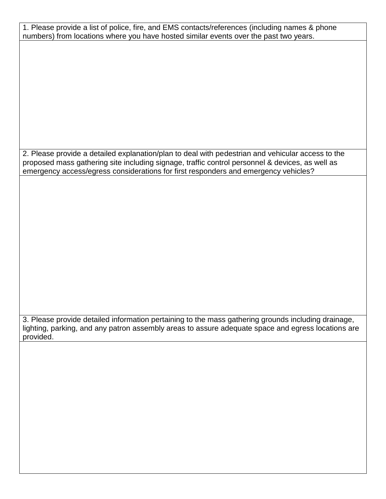| 1. Please provide a list of police, fire, and EMS contacts/references (including names & phone      |
|-----------------------------------------------------------------------------------------------------|
|                                                                                                     |
| numbers) from locations where you have hosted similar events over the past two years.               |
|                                                                                                     |
|                                                                                                     |
|                                                                                                     |
|                                                                                                     |
|                                                                                                     |
|                                                                                                     |
|                                                                                                     |
|                                                                                                     |
|                                                                                                     |
|                                                                                                     |
|                                                                                                     |
|                                                                                                     |
|                                                                                                     |
|                                                                                                     |
|                                                                                                     |
|                                                                                                     |
|                                                                                                     |
|                                                                                                     |
|                                                                                                     |
|                                                                                                     |
|                                                                                                     |
|                                                                                                     |
|                                                                                                     |
|                                                                                                     |
|                                                                                                     |
|                                                                                                     |
|                                                                                                     |
| 2. Please provide a detailed explanation/plan to deal with pedestrian and vehicular access to the   |
|                                                                                                     |
| proposed mass gathering site including signage, traffic control personnel & devices, as well as     |
|                                                                                                     |
| emergency access/egress considerations for first responders and emergency vehicles?                 |
|                                                                                                     |
|                                                                                                     |
|                                                                                                     |
|                                                                                                     |
|                                                                                                     |
|                                                                                                     |
|                                                                                                     |
|                                                                                                     |
|                                                                                                     |
|                                                                                                     |
|                                                                                                     |
|                                                                                                     |
|                                                                                                     |
|                                                                                                     |
|                                                                                                     |
|                                                                                                     |
|                                                                                                     |
|                                                                                                     |
|                                                                                                     |
|                                                                                                     |
|                                                                                                     |
|                                                                                                     |
|                                                                                                     |
|                                                                                                     |
|                                                                                                     |
|                                                                                                     |
|                                                                                                     |
|                                                                                                     |
|                                                                                                     |
|                                                                                                     |
|                                                                                                     |
|                                                                                                     |
|                                                                                                     |
|                                                                                                     |
| 3. Please provide detailed information pertaining to the mass gathering grounds including drainage, |
|                                                                                                     |
| lighting, parking, and any patron assembly areas to assure adequate space and egress locations are  |
|                                                                                                     |
| provided.                                                                                           |
|                                                                                                     |
|                                                                                                     |
|                                                                                                     |
|                                                                                                     |
|                                                                                                     |
|                                                                                                     |
|                                                                                                     |
|                                                                                                     |
|                                                                                                     |
|                                                                                                     |
|                                                                                                     |
|                                                                                                     |
|                                                                                                     |
|                                                                                                     |
|                                                                                                     |
|                                                                                                     |
|                                                                                                     |
|                                                                                                     |
|                                                                                                     |
|                                                                                                     |
|                                                                                                     |
|                                                                                                     |
|                                                                                                     |
|                                                                                                     |
|                                                                                                     |
|                                                                                                     |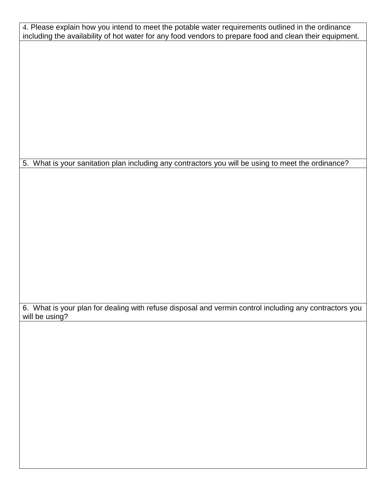| 4. Please explain how you intend to meet the potable water requirements outlined in the ordinance<br>including the availability of hot water for any food vendors to prepare food and clean their equipment. |
|--------------------------------------------------------------------------------------------------------------------------------------------------------------------------------------------------------------|
|                                                                                                                                                                                                              |
|                                                                                                                                                                                                              |
|                                                                                                                                                                                                              |
|                                                                                                                                                                                                              |
|                                                                                                                                                                                                              |
|                                                                                                                                                                                                              |
|                                                                                                                                                                                                              |
| 5. What is your sanitation plan including any contractors you will be using to meet the ordinance?                                                                                                           |
|                                                                                                                                                                                                              |
|                                                                                                                                                                                                              |
|                                                                                                                                                                                                              |
|                                                                                                                                                                                                              |
|                                                                                                                                                                                                              |
|                                                                                                                                                                                                              |
|                                                                                                                                                                                                              |
|                                                                                                                                                                                                              |
| 6. What is your plan for dealing with refuse disposal and vermin control including any contractors you<br>will be using?                                                                                     |
|                                                                                                                                                                                                              |
|                                                                                                                                                                                                              |
|                                                                                                                                                                                                              |
|                                                                                                                                                                                                              |
|                                                                                                                                                                                                              |
|                                                                                                                                                                                                              |
|                                                                                                                                                                                                              |
|                                                                                                                                                                                                              |
|                                                                                                                                                                                                              |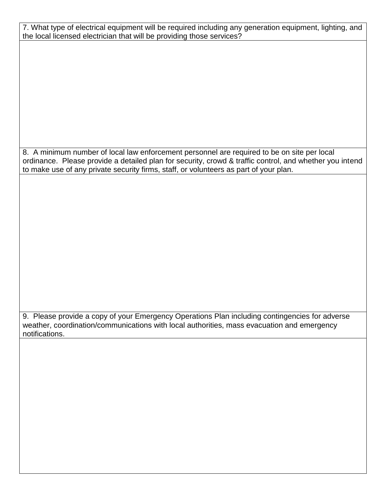7. What type of electrical equipment will be required including any generation equipment, lighting, and the local licensed electrician that will be providing those services?

8. A minimum number of local law enforcement personnel are required to be on site per local ordinance. Please provide a detailed plan for security, crowd & traffic control, and whether you intend to make use of any private security firms, staff, or volunteers as part of your plan.

9. Please provide a copy of your Emergency Operations Plan including contingencies for adverse weather, coordination/communications with local authorities, mass evacuation and emergency notifications.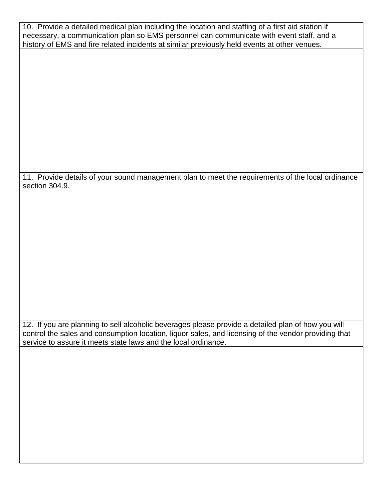| 10. Provide a detailed medical plan including the location and staffing of a first aid station if |
|---------------------------------------------------------------------------------------------------|
| necessary, a communication plan so EMS personnel can communicate with event staff, and a          |
| history of EMS and fire related incidents at similar previously held events at other venues.      |

11. Provide details of your sound management plan to meet the requirements of the local ordinance section 304.9.

12. If you are planning to sell alcoholic beverages please provide a detailed plan of how you will control the sales and consumption location, liquor sales, and licensing of the vendor providing that service to assure it meets state laws and the local ordinance.